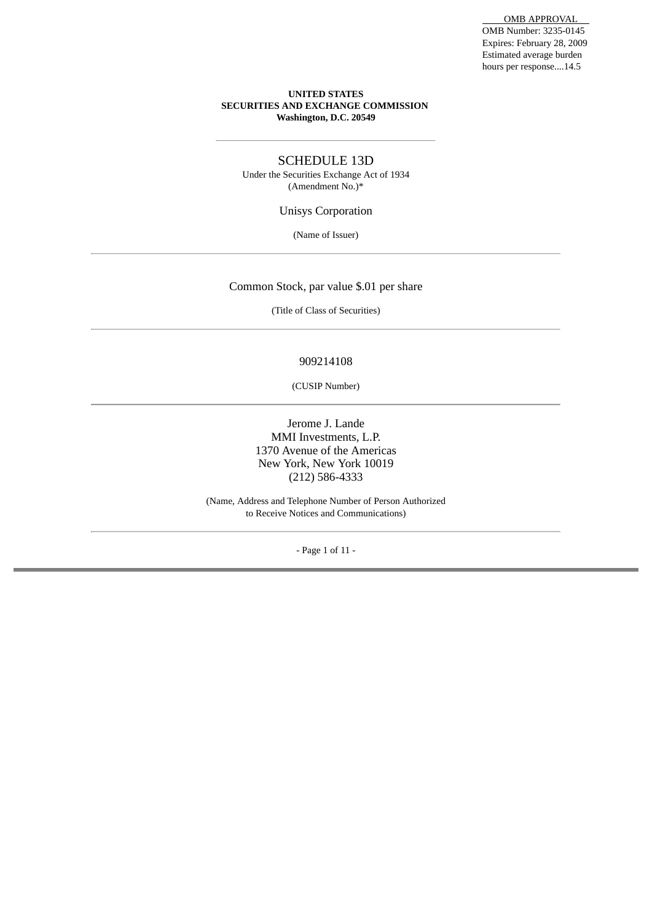#### **UNITED STATES SECURITIES AND EXCHANGE COMMISSION Washington, D.C. 20549**

#### SCHEDULE 13D

Under the Securities Exchange Act of 1934 (Amendment No.)\*

Unisys Corporation

(Name of Issuer)

#### Common Stock, par value \$.01 per share

(Title of Class of Securities)

#### 909214108

(CUSIP Number)

Jerome J. Lande MMI Investments, L.P. 1370 Avenue of the Americas New York, New York 10019 (212) 586-4333

(Name, Address and Telephone Number of Person Authorized to Receive Notices and Communications)

- Page 1 of 11 -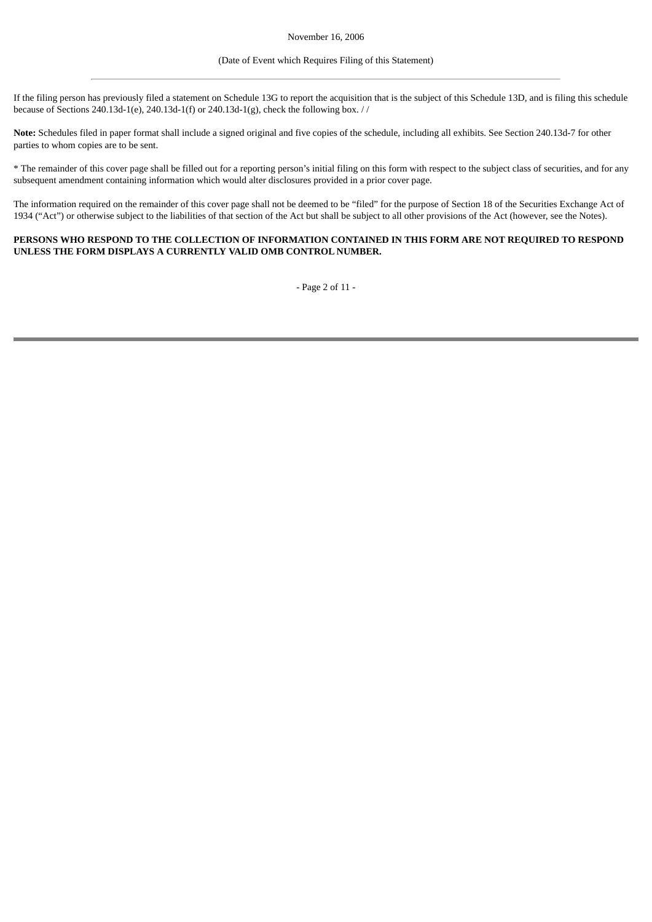#### (Date of Event which Requires Filing of this Statement)

If the filing person has previously filed a statement on Schedule 13G to report the acquisition that is the subject of this Schedule 13D, and is filing this schedule because of Sections 240.13d-1(e), 240.13d-1(f) or 240.13d-1(g), check the following box. //

**Note:** Schedules filed in paper format shall include a signed original and five copies of the schedule, including all exhibits. See Section 240.13d-7 for other parties to whom copies are to be sent.

\* The remainder of this cover page shall be filled out for a reporting person's initial filing on this form with respect to the subject class of securities, and for any subsequent amendment containing information which would alter disclosures provided in a prior cover page.

The information required on the remainder of this cover page shall not be deemed to be "filed" for the purpose of Section 18 of the Securities Exchange Act of 1934 ("Act") or otherwise subject to the liabilities of that section of the Act but shall be subject to all other provisions of the Act (however, see the Notes).

#### **PERSONS WHO RESPOND TO THE COLLECTION OF INFORMATION CONTAINED IN THIS FORM ARE NOT REQUIRED TO RESPOND UNLESS THE FORM DISPLAYS A CURRENTLY VALID OMB CONTROL NUMBER.**

- Page 2 of 11 -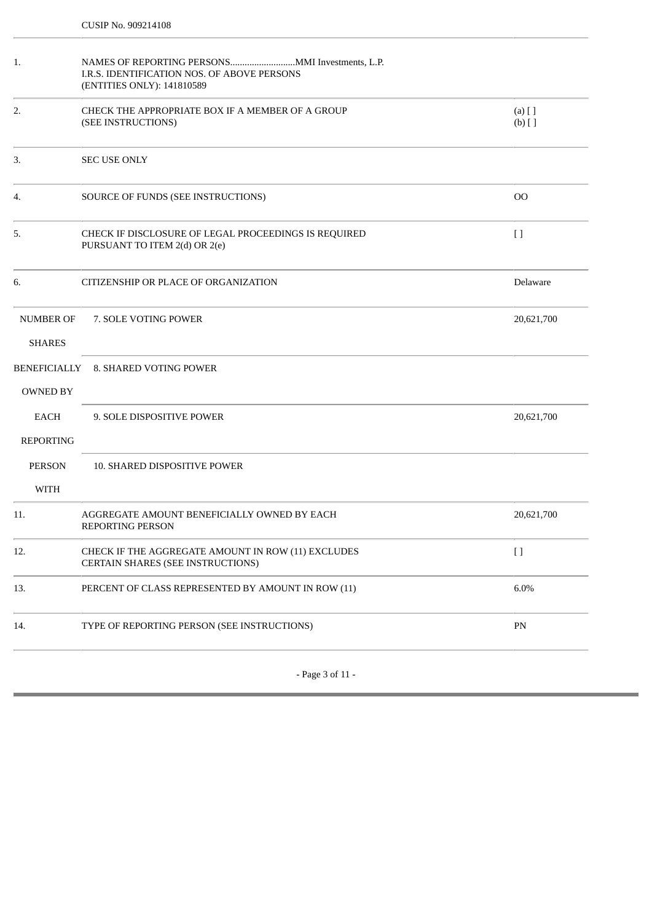| 1.                                | I.R.S. IDENTIFICATION NOS. OF ABOVE PERSONS<br>(ENTITIES ONLY): 141810589               |                       |  |
|-----------------------------------|-----------------------------------------------------------------------------------------|-----------------------|--|
| 2.                                | CHECK THE APPROPRIATE BOX IF A MEMBER OF A GROUP<br>(SEE INSTRUCTIONS)                  | $(a)$ [ ]<br>$(b)$ [] |  |
| 3.                                | <b>SEC USE ONLY</b>                                                                     |                       |  |
| 4.                                | SOURCE OF FUNDS (SEE INSTRUCTIONS)                                                      | O <sub>O</sub>        |  |
| 5.                                | CHECK IF DISCLOSURE OF LEGAL PROCEEDINGS IS REQUIRED<br>PURSUANT TO ITEM 2(d) OR 2(e)   | $[ \ ]$               |  |
| 6.                                | CITIZENSHIP OR PLACE OF ORGANIZATION                                                    | Delaware              |  |
| <b>NUMBER OF</b><br><b>SHARES</b> | 7. SOLE VOTING POWER                                                                    | 20,621,700            |  |
| <b>OWNED BY</b>                   | BENEFICIALLY 8. SHARED VOTING POWER                                                     |                       |  |
| <b>EACH</b><br><b>REPORTING</b>   | 9. SOLE DISPOSITIVE POWER                                                               | 20,621,700            |  |
| <b>PERSON</b><br><b>WITH</b>      | 10. SHARED DISPOSITIVE POWER                                                            |                       |  |
| 11.                               | AGGREGATE AMOUNT BENEFICIALLY OWNED BY EACH<br><b>REPORTING PERSON</b>                  | 20,621,700            |  |
| 12.                               | CHECK IF THE AGGREGATE AMOUNT IN ROW (11) EXCLUDES<br>CERTAIN SHARES (SEE INSTRUCTIONS) | $\left[ \ \right]$    |  |
| 13.                               | PERCENT OF CLASS REPRESENTED BY AMOUNT IN ROW (11)                                      | 6.0%                  |  |
| 14.                               | TYPE OF REPORTING PERSON (SEE INSTRUCTIONS)                                             | PN                    |  |
|                                   |                                                                                         |                       |  |

- Page 3 of 11 -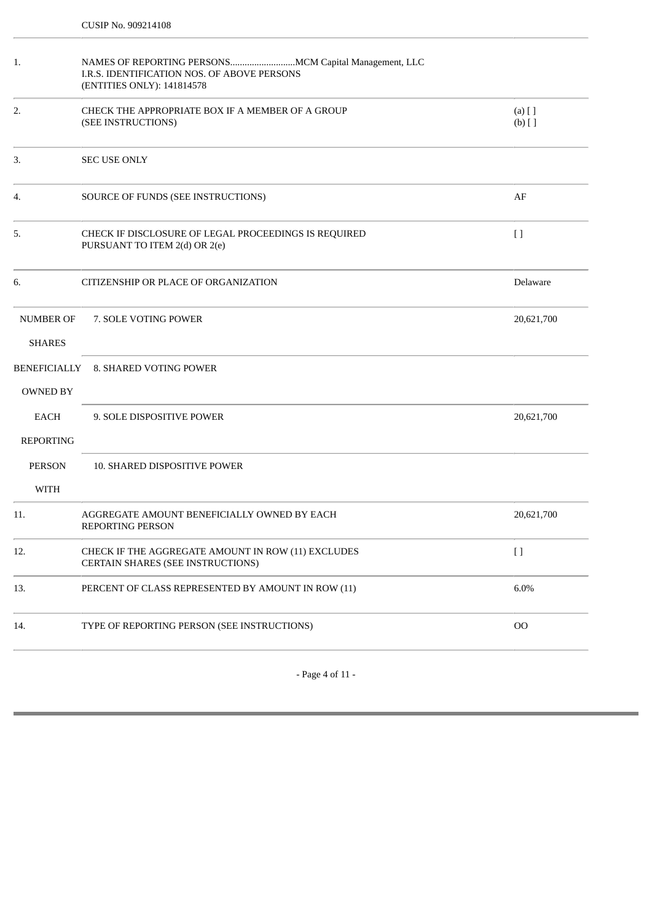| 1.                              | I.R.S. IDENTIFICATION NOS. OF ABOVE PERSONS<br>(ENTITIES ONLY): 141814578               |                       |  |
|---------------------------------|-----------------------------------------------------------------------------------------|-----------------------|--|
| 2.                              | CHECK THE APPROPRIATE BOX IF A MEMBER OF A GROUP<br>(SEE INSTRUCTIONS)                  | $(a)$ [ ]<br>$(b)$ [] |  |
| 3.                              | <b>SEC USE ONLY</b>                                                                     |                       |  |
| 4.                              | SOURCE OF FUNDS (SEE INSTRUCTIONS)                                                      | AF                    |  |
| 5.                              | CHECK IF DISCLOSURE OF LEGAL PROCEEDINGS IS REQUIRED<br>PURSUANT TO ITEM 2(d) OR 2(e)   | $[ \ ]$               |  |
| 6.                              | CITIZENSHIP OR PLACE OF ORGANIZATION                                                    | Delaware              |  |
| NUMBER OF<br><b>SHARES</b>      | 7. SOLE VOTING POWER                                                                    | 20,621,700            |  |
| OWNED BY                        | BENEFICIALLY 8. SHARED VOTING POWER                                                     |                       |  |
| <b>EACH</b><br><b>REPORTING</b> | 9. SOLE DISPOSITIVE POWER                                                               | 20,621,700            |  |
| <b>PERSON</b><br><b>WITH</b>    | 10. SHARED DISPOSITIVE POWER                                                            |                       |  |
| 11.                             | AGGREGATE AMOUNT BENEFICIALLY OWNED BY EACH<br><b>REPORTING PERSON</b>                  | 20,621,700            |  |
| 12.                             | CHECK IF THE AGGREGATE AMOUNT IN ROW (11) EXCLUDES<br>CERTAIN SHARES (SEE INSTRUCTIONS) | $[ \ ]$               |  |
| 13.                             | PERCENT OF CLASS REPRESENTED BY AMOUNT IN ROW (11)                                      | 6.0%                  |  |
| 14.                             | TYPE OF REPORTING PERSON (SEE INSTRUCTIONS)                                             | O <sub>O</sub>        |  |
|                                 |                                                                                         |                       |  |

- Page 4 of 11 -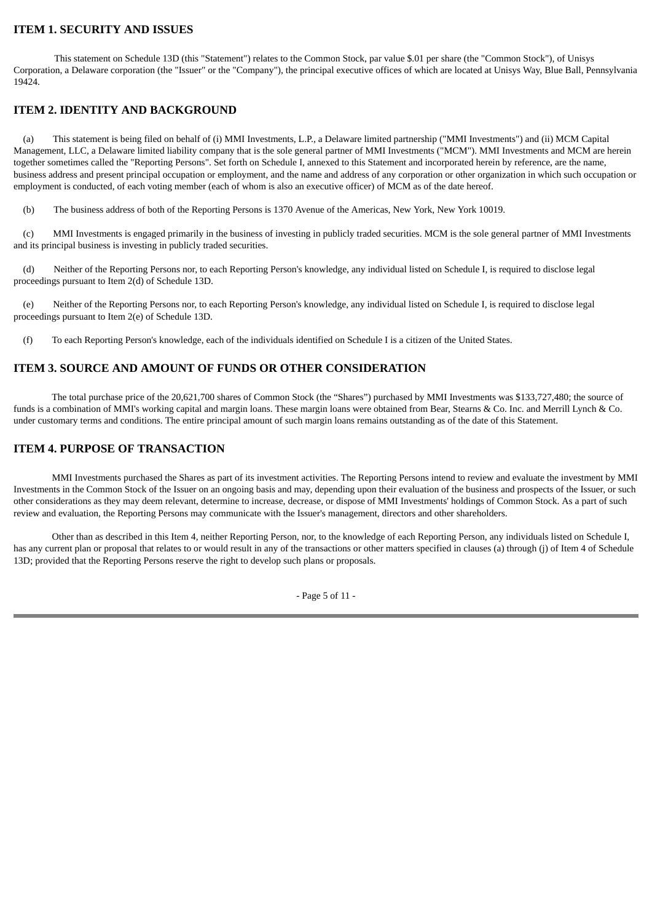# **ITEM 1. SECURITY AND ISSUES**

 This statement on Schedule 13D (this "Statement") relates to the Common Stock, par value \$.01 per share (the "Common Stock"), of Unisys Corporation, a Delaware corporation (the "Issuer" or the "Company"), the principal executive offices of which are located at Unisys Way, Blue Ball, Pennsylvania 19424.

# **ITEM 2. IDENTITY AND BACKGROUND**

 (a) This statement is being filed on behalf of (i) MMI Investments, L.P., a Delaware limited partnership ("MMI Investments") and (ii) MCM Capital Management, LLC, a Delaware limited liability company that is the sole general partner of MMI Investments ("MCM"). MMI Investments and MCM are herein together sometimes called the "Reporting Persons". Set forth on Schedule I, annexed to this Statement and incorporated herein by reference, are the name, business address and present principal occupation or employment, and the name and address of any corporation or other organization in which such occupation or employment is conducted, of each voting member (each of whom is also an executive officer) of MCM as of the date hereof.

(b) The business address of both of the Reporting Persons is 1370 Avenue of the Americas, New York, New York 10019.

 (c) MMI Investments is engaged primarily in the business of investing in publicly traded securities. MCM is the sole general partner of MMI Investments and its principal business is investing in publicly traded securities.

 (d) Neither of the Reporting Persons nor, to each Reporting Person's knowledge, any individual listed on Schedule I, is required to disclose legal proceedings pursuant to Item 2(d) of Schedule 13D.

 (e) Neither of the Reporting Persons nor, to each Reporting Person's knowledge, any individual listed on Schedule I, is required to disclose legal proceedings pursuant to Item 2(e) of Schedule 13D.

(f) To each Reporting Person's knowledge, each of the individuals identified on Schedule I is a citizen of the United States.

#### **ITEM 3. SOURCE AND AMOUNT OF FUNDS OR OTHER CONSIDERATION**

 The total purchase price of the 20,621,700 shares of Common Stock (the "Shares") purchased by MMI Investments was \$133,727,480; the source of funds is a combination of MMI's working capital and margin loans. These margin loans were obtained from Bear, Stearns & Co. Inc. and Merrill Lynch & Co. under customary terms and conditions. The entire principal amount of such margin loans remains outstanding as of the date of this Statement.

## **ITEM 4. PURPOSE OF TRANSACTION**

 MMI Investments purchased the Shares as part of its investment activities. The Reporting Persons intend to review and evaluate the investment by MMI Investments in the Common Stock of the Issuer on an ongoing basis and may, depending upon their evaluation of the business and prospects of the Issuer, or such other considerations as they may deem relevant, determine to increase, decrease, or dispose of MMI Investments' holdings of Common Stock. As a part of such review and evaluation, the Reporting Persons may communicate with the Issuer's management, directors and other shareholders.

 Other than as described in this Item 4, neither Reporting Person, nor, to the knowledge of each Reporting Person, any individuals listed on Schedule I, has any current plan or proposal that relates to or would result in any of the transactions or other matters specified in clauses (a) through (j) of Item 4 of Schedule 13D; provided that the Reporting Persons reserve the right to develop such plans or proposals.

- Page 5 of 11 -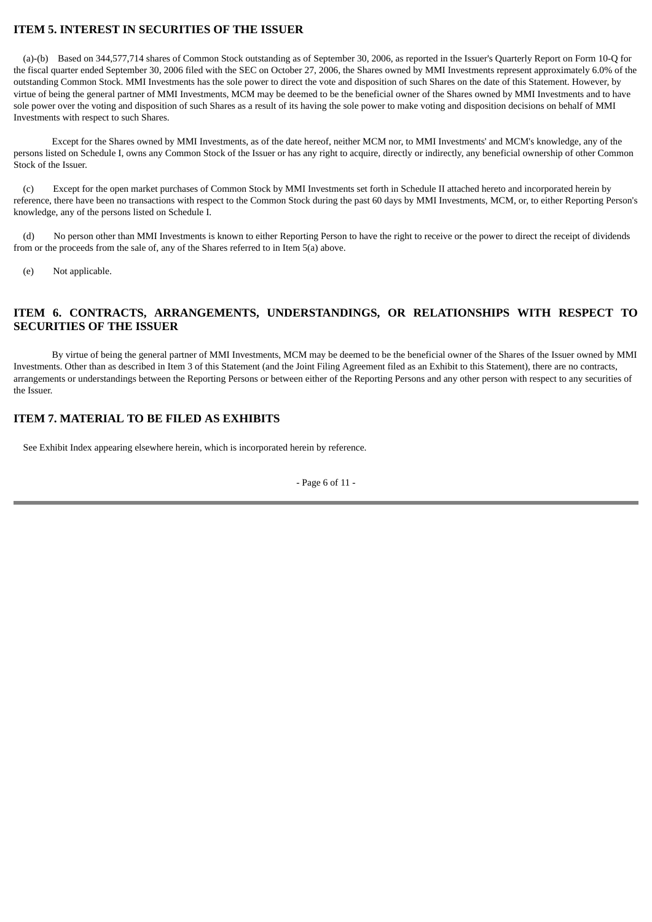# **ITEM 5. INTEREST IN SECURITIES OF THE ISSUER**

 (a)-(b) Based on 344,577,714 shares of Common Stock outstanding as of September 30, 2006, as reported in the Issuer's Quarterly Report on Form 10-Q for the fiscal quarter ended September 30, 2006 filed with the SEC on October 27, 2006, the Shares owned by MMI Investments represent approximately 6.0% of the outstanding Common Stock. MMI Investments has the sole power to direct the vote and disposition of such Shares on the date of this Statement. However, by virtue of being the general partner of MMI Investments, MCM may be deemed to be the beneficial owner of the Shares owned by MMI Investments and to have sole power over the voting and disposition of such Shares as a result of its having the sole power to make voting and disposition decisions on behalf of MMI Investments with respect to such Shares.

 Except for the Shares owned by MMI Investments, as of the date hereof, neither MCM nor, to MMI Investments' and MCM's knowledge, any of the persons listed on Schedule I, owns any Common Stock of the Issuer or has any right to acquire, directly or indirectly, any beneficial ownership of other Common Stock of the Issuer.

 (c) Except for the open market purchases of Common Stock by MMI Investments set forth in Schedule II attached hereto and incorporated herein by reference, there have been no transactions with respect to the Common Stock during the past 60 days by MMI Investments, MCM, or, to either Reporting Person's knowledge, any of the persons listed on Schedule I.

 (d) No person other than MMI Investments is known to either Reporting Person to have the right to receive or the power to direct the receipt of dividends from or the proceeds from the sale of, any of the Shares referred to in Item 5(a) above.

(e) Not applicable.

### **ITEM 6. CONTRACTS, ARRANGEMENTS, UNDERSTANDINGS, OR RELATIONSHIPS WITH RESPECT TO SECURITIES OF THE ISSUER**

 By virtue of being the general partner of MMI Investments, MCM may be deemed to be the beneficial owner of the Shares of the Issuer owned by MMI Investments. Other than as described in Item 3 of this Statement (and the Joint Filing Agreement filed as an Exhibit to this Statement), there are no contracts, arrangements or understandings between the Reporting Persons or between either of the Reporting Persons and any other person with respect to any securities of the Issuer.

### **ITEM 7. MATERIAL TO BE FILED AS EXHIBITS**

See Exhibit Index appearing elsewhere herein, which is incorporated herein by reference.

- Page 6 of 11 -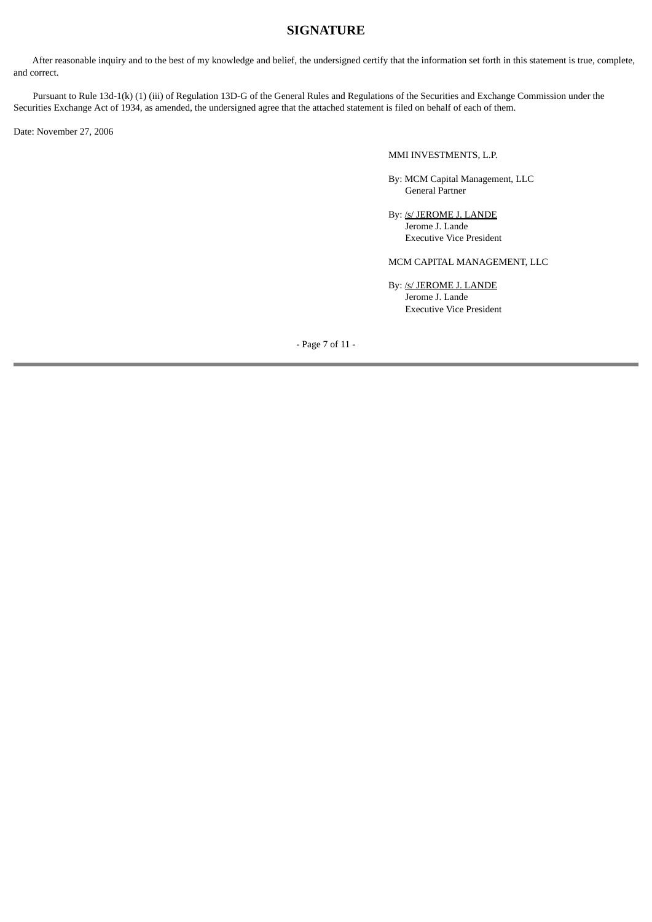# **SIGNATURE**

 After reasonable inquiry and to the best of my knowledge and belief, the undersigned certify that the information set forth in this statement is true, complete, and correct.

Pursuant to Rule 13d-1(k) (1) (iii) of Regulation 13D-G of the General Rules and Regulations of the Securities and Exchange Commission under the Securities Exchange Act of 1934, as amended, the undersigned agree that the attached statement is filed on behalf of each of them.

Date: November 27, 2006

#### MMI INVESTMENTS, L.P.

By: MCM Capital Management, LLC General Partner

By: /s/ JEROME J. LANDE Jerome J. Lande Executive Vice President

#### MCM CAPITAL MANAGEMENT, LLC

By: /s/ JEROME J. LANDE Jerome J. Lande Executive Vice President

- Page 7 of 11 -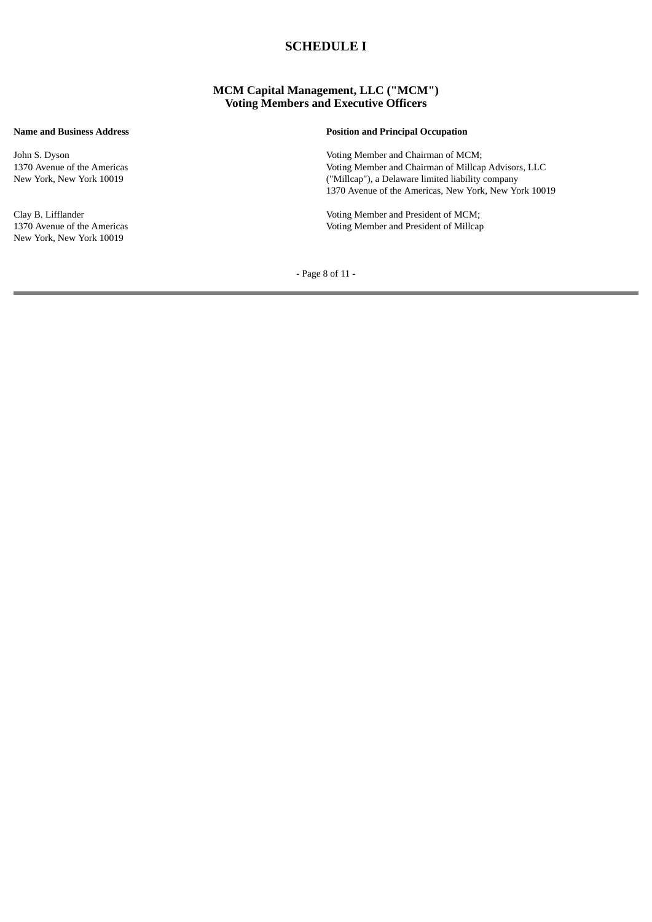# **SCHEDULE I**

#### **MCM Capital Management, LLC ("MCM") Voting Members and Executive Officers**

John S. Dyson 1370 Avenue of the Americas New York, New York 10019

Clay B. Lifflander 1370 Avenue of the Americas New York, New York 10019

#### **Name and Business Address Position and Principal Occupation**

Voting Member and Chairman of MCM; Voting Member and Chairman of Millcap Advisors, LLC ("Millcap"), a Delaware limited liability company 1370 Avenue of the Americas, New York, New York 10019

Voting Member and President of MCM; Voting Member and President of Millcap

- Page 8 of 11 -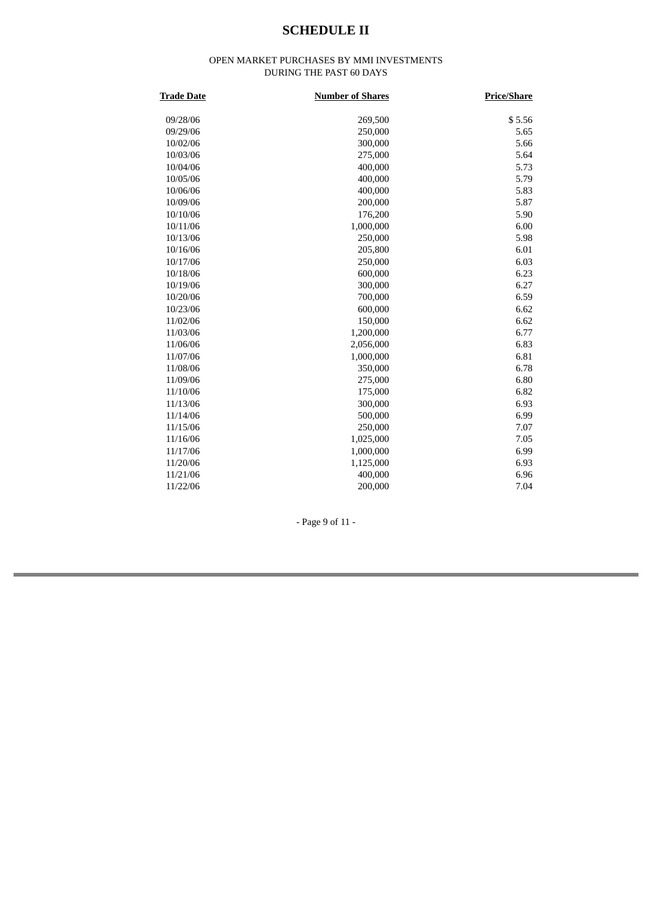# **SCHEDULE II**

#### OPEN MARKET PURCHASES BY MMI INVESTMENTS DURING THE PAST 60 DAYS

| <b>Trade Date</b> | <b>Number of Shares</b> | <b>Price/Share</b> |
|-------------------|-------------------------|--------------------|
| 09/28/06          | 269,500                 | \$5.56             |
| 09/29/06          | 250,000                 | 5.65               |
| 10/02/06          | 300,000                 | 5.66               |
| 10/03/06          | 275,000                 | 5.64               |
| 10/04/06          | 400,000                 | 5.73               |
| 10/05/06          | 400,000                 | 5.79               |
| 10/06/06          | 400,000                 | 5.83               |
| 10/09/06          | 200,000                 | 5.87               |
| 10/10/06          | 176,200                 | 5.90               |
| 10/11/06          | 1,000,000               | 6.00               |
| 10/13/06          | 250,000                 | 5.98               |
| 10/16/06          | 205,800                 | 6.01               |
| 10/17/06          | 250,000                 | 6.03               |
| 10/18/06          | 600,000                 | 6.23               |
| 10/19/06          | 300,000                 | 6.27               |
| 10/20/06          | 700,000                 | 6.59               |
| 10/23/06          | 600,000                 | 6.62               |
| 11/02/06          | 150,000                 | 6.62               |
| 11/03/06          | 1,200,000               | 6.77               |
| 11/06/06          | 2,056,000               | 6.83               |
| 11/07/06          | 1,000,000               | 6.81               |
| 11/08/06          | 350,000                 | 6.78               |
| 11/09/06          | 275,000                 | 6.80               |
| 11/10/06          | 175,000                 | 6.82               |
| 11/13/06          | 300,000                 | 6.93               |
| 11/14/06          | 500,000                 | 6.99               |
| 11/15/06          | 250,000                 | 7.07               |
| 11/16/06          | 1,025,000               | 7.05               |
| 11/17/06          | 1,000,000               | 6.99               |
| 11/20/06          | 1,125,000               | 6.93               |
| 11/21/06          | 400,000                 | 6.96               |
| 11/22/06          | 200,000                 | 7.04               |

- Page 9 of 11 -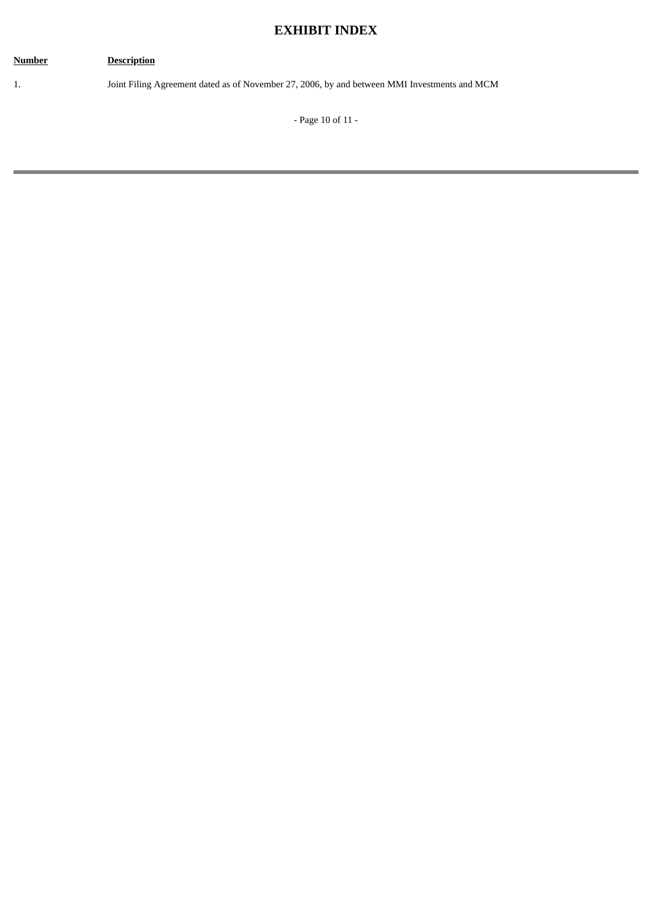# **EXHIBIT INDEX**

# **Number Description** 1. Joint Filing Agreement dated as of November 27, 2006, by and between MMI Investments and MCM - Page 10 of 11 -